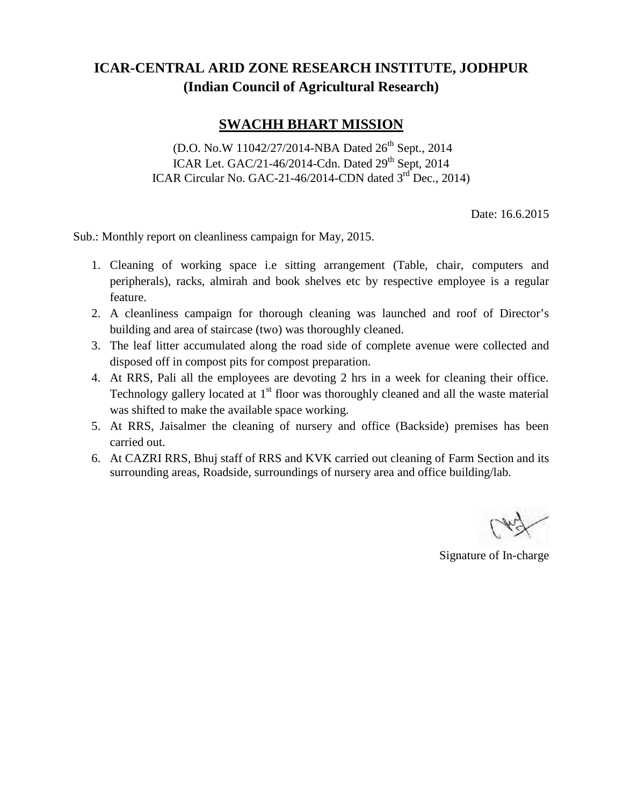## **ICAR-CENTRAL ARID ZONE RESEARCH INSTITUTE, JODHPUR (Indian Council of Agricultural Research)**

## **SWACHH BHART MISSION**

(D.O. No.W 11042/27/2014-NBA Dated 26<sup>th</sup> Sept., 2014 ICAR Let. GAC/21-46/2014-Cdn. Dated  $29<sup>th</sup>$  Sept, 2014 ICAR Circular No. GAC-21-46/2014-CDN dated 3<sup>rd</sup> Dec., 2014)

Date: 16.6.2015

Sub.: Monthly report on cleanliness campaign for May, 2015.

- 1. Cleaning of working space i.e sitting arrangement (Table, chair, computers and peripherals), racks, almirah and book shelves etc by respective employee is a regular feature.
- 2. A cleanliness campaign for thorough cleaning was launched and roof of Director's building and area of staircase (two) was thoroughly cleaned.
- 3. The leaf litter accumulated along the road side of complete avenue were collected and disposed off in compost pits for compost preparation.
- 4. At RRS, Pali all the employees are devoting 2 hrs in a week for cleaning their office. Technology gallery located at  $1<sup>st</sup>$  floor was thoroughly cleaned and all the waste material was shifted to make the available space working.
- 5. At RRS, Jaisalmer the cleaning of nursery and office (Backside) premises has been carried out.
- 6. At CAZRI RRS, Bhuj staff of RRS and KVK carried out cleaning of Farm Section and its surrounding areas, Roadside, surroundings of nursery area and office building/lab.

Signature of In-charge